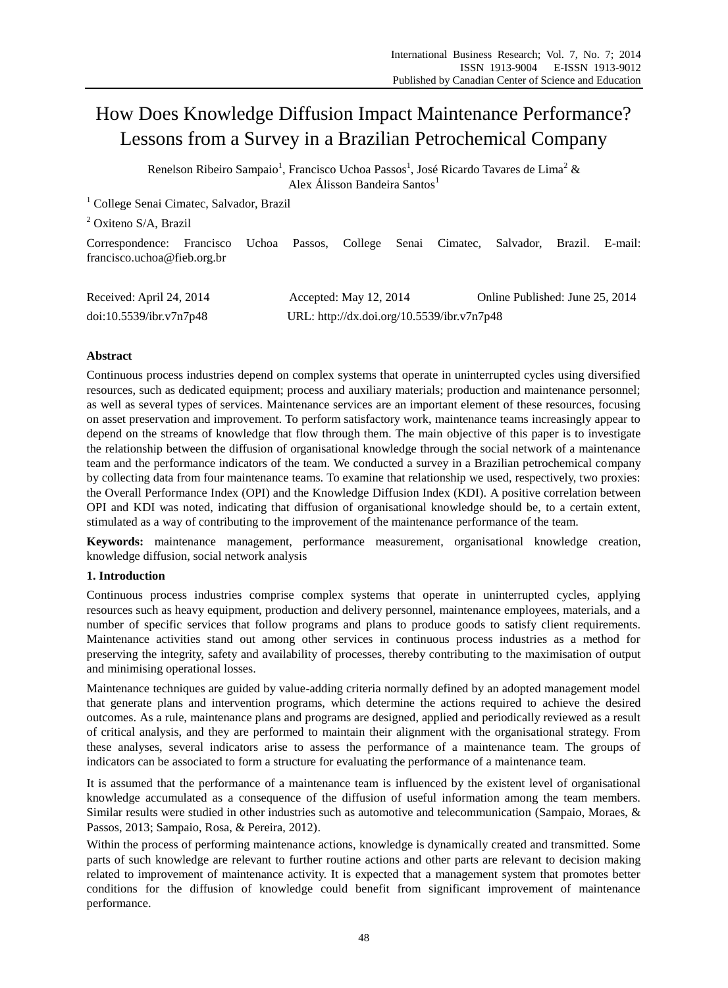# How Does Knowledge Diffusion Impact Maintenance Performance? Lessons from a Survey in a Brazilian Petrochemical Company

Renelson Ribeiro Sampaio<sup>1</sup>, Francisco Uchoa Passos<sup>1</sup>, Jos é Ricardo Tavares de Lima<sup>2</sup> & Alex Álisson Bandeira Santos<sup>1</sup>

<sup>1</sup> College Senai Cimatec, Salvador, Brazil

<sup>2</sup> Oxiteno S/A, Brazil

Correspondence: Francisco Uchoa Passos, College Senai Cimatec, Salvador, Brazil. E-mail: francisco.uchoa@fieb.org.br

| Received: April 24, 2014 | Accepted: May 12, 2014                     | Online Published: June 25, 2014 |
|--------------------------|--------------------------------------------|---------------------------------|
| doi:10.5539/ibr.v7n7p48  | URL: http://dx.doi.org/10.5539/ibr.v7n7p48 |                                 |

# **Abstract**

Continuous process industries depend on complex systems that operate in uninterrupted cycles using diversified resources, such as dedicated equipment; process and auxiliary materials; production and maintenance personnel; as well as several types of services. Maintenance services are an important element of these resources, focusing on asset preservation and improvement. To perform satisfactory work, maintenance teams increasingly appear to depend on the streams of knowledge that flow through them. The main objective of this paper is to investigate the relationship between the diffusion of organisational knowledge through the social network of a maintenance team and the performance indicators of the team. We conducted a survey in a Brazilian petrochemical company by collecting data from four maintenance teams. To examine that relationship we used, respectively, two proxies: the Overall Performance Index (OPI) and the Knowledge Diffusion Index (KDI). A positive correlation between OPI and KDI was noted, indicating that diffusion of organisational knowledge should be, to a certain extent, stimulated as a way of contributing to the improvement of the maintenance performance of the team.

**Keywords:** maintenance management, performance measurement, organisational knowledge creation, knowledge diffusion, social network analysis

# **1. Introduction**

Continuous process industries comprise complex systems that operate in uninterrupted cycles, applying resources such as heavy equipment, production and delivery personnel, maintenance employees, materials, and a number of specific services that follow programs and plans to produce goods to satisfy client requirements. Maintenance activities stand out among other services in continuous process industries as a method for preserving the integrity, safety and availability of processes, thereby contributing to the maximisation of output and minimising operational losses.

Maintenance techniques are guided by value-adding criteria normally defined by an adopted management model that generate plans and intervention programs, which determine the actions required to achieve the desired outcomes. As a rule, maintenance plans and programs are designed, applied and periodically reviewed as a result of critical analysis, and they are performed to maintain their alignment with the organisational strategy. From these analyses, several indicators arise to assess the performance of a maintenance team. The groups of indicators can be associated to form a structure for evaluating the performance of a maintenance team.

It is assumed that the performance of a maintenance team is influenced by the existent level of organisational knowledge accumulated as a consequence of the diffusion of useful information among the team members. Similar results were studied in other industries such as automotive and telecommunication (Sampaio, Moraes, & Passos, 2013; Sampaio, Rosa, & Pereira, 2012).

Within the process of performing maintenance actions, knowledge is dynamically created and transmitted. Some parts of such knowledge are relevant to further routine actions and other parts are relevant to decision making related to improvement of maintenance activity. It is expected that a management system that promotes better conditions for the diffusion of knowledge could benefit from significant improvement of maintenance performance.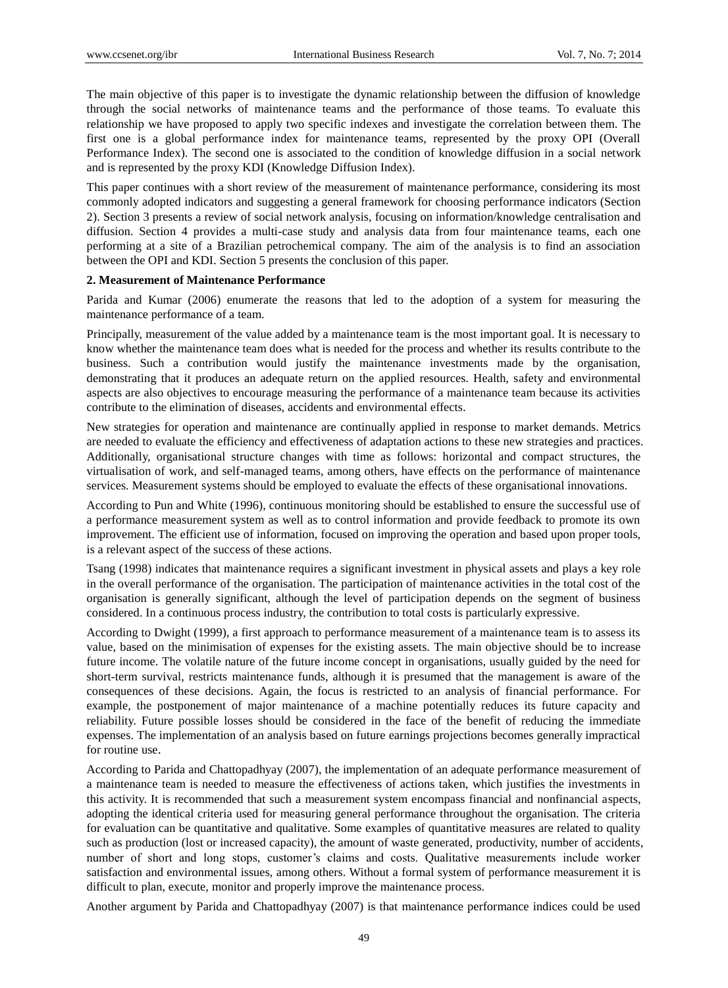The main objective of this paper is to investigate the dynamic relationship between the diffusion of knowledge through the social networks of maintenance teams and the performance of those teams. To evaluate this relationship we have proposed to apply two specific indexes and investigate the correlation between them. The first one is a global performance index for maintenance teams, represented by the proxy OPI (Overall Performance Index). The second one is associated to the condition of knowledge diffusion in a social network and is represented by the proxy KDI (Knowledge Diffusion Index).

This paper continues with a short review of the measurement of maintenance performance, considering its most commonly adopted indicators and suggesting a general framework for choosing performance indicators (Section 2). Section 3 presents a review of social network analysis, focusing on information/knowledge centralisation and diffusion. Section 4 provides a multi-case study and analysis data from four maintenance teams, each one performing at a site of a Brazilian petrochemical company. The aim of the analysis is to find an association between the OPI and KDI. Section 5 presents the conclusion of this paper.

## **2. Measurement of Maintenance Performance**

Parida and Kumar (2006) enumerate the reasons that led to the adoption of a system for measuring the maintenance performance of a team.

Principally, measurement of the value added by a maintenance team is the most important goal. It is necessary to know whether the maintenance team does what is needed for the process and whether its results contribute to the business. Such a contribution would justify the maintenance investments made by the organisation, demonstrating that it produces an adequate return on the applied resources. Health, safety and environmental aspects are also objectives to encourage measuring the performance of a maintenance team because its activities contribute to the elimination of diseases, accidents and environmental effects.

New strategies for operation and maintenance are continually applied in response to market demands. Metrics are needed to evaluate the efficiency and effectiveness of adaptation actions to these new strategies and practices. Additionally, organisational structure changes with time as follows: horizontal and compact structures, the virtualisation of work, and self-managed teams, among others, have effects on the performance of maintenance services. Measurement systems should be employed to evaluate the effects of these organisational innovations.

According to Pun and White (1996), continuous monitoring should be established to ensure the successful use of a performance measurement system as well as to control information and provide feedback to promote its own improvement. The efficient use of information, focused on improving the operation and based upon proper tools, is a relevant aspect of the success of these actions.

Tsang (1998) indicates that maintenance requires a significant investment in physical assets and plays a key role in the overall performance of the organisation. The participation of maintenance activities in the total cost of the organisation is generally significant, although the level of participation depends on the segment of business considered. In a continuous process industry, the contribution to total costs is particularly expressive.

According to Dwight (1999), a first approach to performance measurement of a maintenance team is to assess its value, based on the minimisation of expenses for the existing assets. The main objective should be to increase future income. The volatile nature of the future income concept in organisations, usually guided by the need for short-term survival, restricts maintenance funds, although it is presumed that the management is aware of the consequences of these decisions. Again, the focus is restricted to an analysis of financial performance. For example, the postponement of major maintenance of a machine potentially reduces its future capacity and reliability. Future possible losses should be considered in the face of the benefit of reducing the immediate expenses. The implementation of an analysis based on future earnings projections becomes generally impractical for routine use.

According to Parida and Chattopadhyay (2007), the implementation of an adequate performance measurement of a maintenance team is needed to measure the effectiveness of actions taken, which justifies the investments in this activity. It is recommended that such a measurement system encompass financial and nonfinancial aspects, adopting the identical criteria used for measuring general performance throughout the organisation. The criteria for evaluation can be quantitative and qualitative. Some examples of quantitative measures are related to quality such as production (lost or increased capacity), the amount of waste generated, productivity, number of accidents, number of short and long stops, customer's claims and costs. Qualitative measurements include worker satisfaction and environmental issues, among others. Without a formal system of performance measurement it is difficult to plan, execute, monitor and properly improve the maintenance process.

Another argument by Parida and Chattopadhyay (2007) is that maintenance performance indices could be used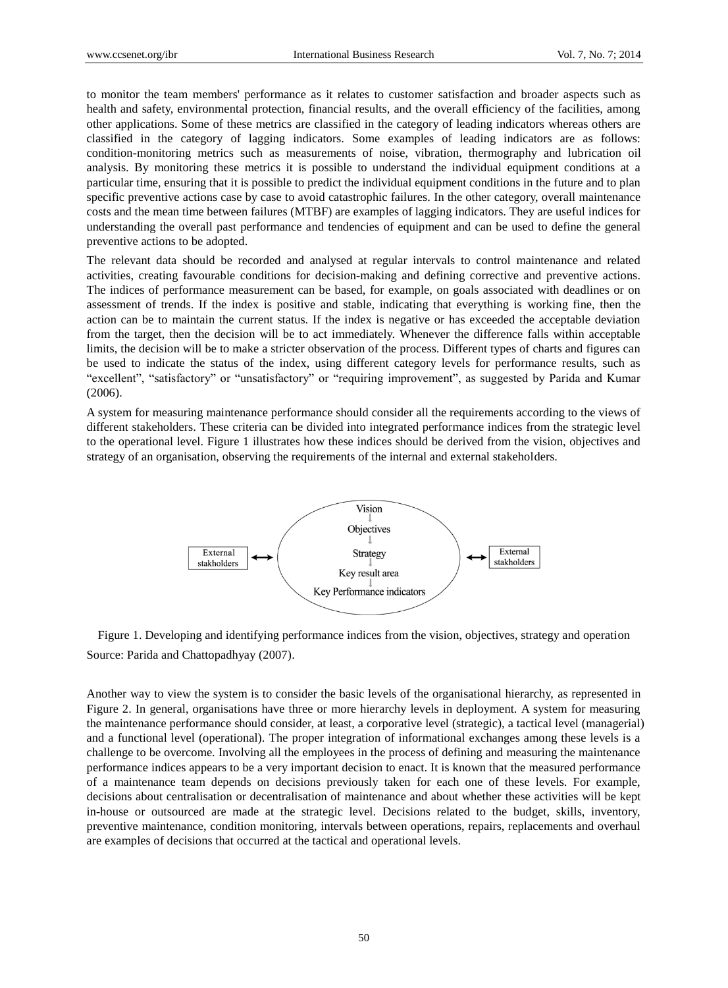to monitor the team members' performance as it relates to customer satisfaction and broader aspects such as health and safety, environmental protection, financial results, and the overall efficiency of the facilities, among other applications. Some of these metrics are classified in the category of leading indicators whereas others are classified in the category of lagging indicators. Some examples of leading indicators are as follows: condition-monitoring metrics such as measurements of noise, vibration, thermography and lubrication oil analysis. By monitoring these metrics it is possible to understand the individual equipment conditions at a particular time, ensuring that it is possible to predict the individual equipment conditions in the future and to plan specific preventive actions case by case to avoid catastrophic failures. In the other category, overall maintenance costs and the mean time between failures (MTBF) are examples of lagging indicators. They are useful indices for understanding the overall past performance and tendencies of equipment and can be used to define the general preventive actions to be adopted.

The relevant data should be recorded and analysed at regular intervals to control maintenance and related activities, creating favourable conditions for decision-making and defining corrective and preventive actions. The indices of performance measurement can be based, for example, on goals associated with deadlines or on assessment of trends. If the index is positive and stable, indicating that everything is working fine, then the action can be to maintain the current status. If the index is negative or has exceeded the acceptable deviation from the target, then the decision will be to act immediately. Whenever the difference falls within acceptable limits, the decision will be to make a stricter observation of the process. Different types of charts and figures can be used to indicate the status of the index, using different category levels for performance results, such as "excellent", "satisfactory" or "unsatisfactory" or "requiring improvement", as suggested by Parida and Kumar (2006).

A system for measuring maintenance performance should consider all the requirements according to the views of different stakeholders. These criteria can be divided into integrated performance indices from the strategic level to the operational level. Figure 1 illustrates how these indices should be derived from the vision, objectives and strategy of an organisation, observing the requirements of the internal and external stakeholders.



Figure 1. Developing and identifying performance indices from the vision, objectives, strategy and operation Source: Parida and Chattopadhyay (2007).

Another way to view the system is to consider the basic levels of the organisational hierarchy, as represented in Figure 2. In general, organisations have three or more hierarchy levels in deployment. A system for measuring the maintenance performance should consider, at least, a corporative level (strategic), a tactical level (managerial) and a functional level (operational). The proper integration of informational exchanges among these levels is a challenge to be overcome. Involving all the employees in the process of defining and measuring the maintenance performance indices appears to be a very important decision to enact. It is known that the measured performance of a maintenance team depends on decisions previously taken for each one of these levels. For example, decisions about centralisation or decentralisation of maintenance and about whether these activities will be kept in-house or outsourced are made at the strategic level. Decisions related to the budget, skills, inventory, preventive maintenance, condition monitoring, intervals between operations, repairs, replacements and overhaul are examples of decisions that occurred at the tactical and operational levels.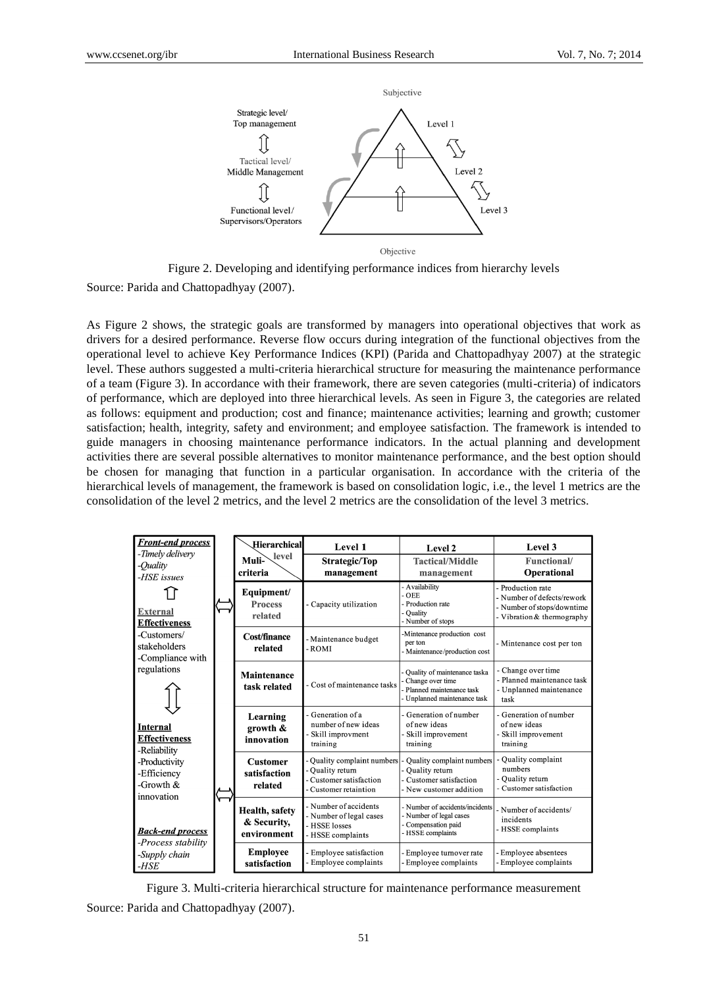

Figure 2. Developing and identifying performance indices from hierarchy levels

Source: Parida and Chattopadhyay (2007).

As Figure 2 shows, the strategic goals are transformed by managers into operational objectives that work as drivers for a desired performance. Reverse flow occurs during integration of the functional objectives from the operational level to achieve Key Performance Indices (KPI) (Parida and Chattopadhyay 2007) at the strategic level. These authors suggested a multi-criteria hierarchical structure for measuring the maintenance performance of a team (Figure 3). In accordance with their framework, there are seven categories (multi-criteria) of indicators of performance, which are deployed into three hierarchical levels. As seen in Figure 3, the categories are related as follows: equipment and production; cost and finance; maintenance activities; learning and growth; customer satisfaction; health, integrity, safety and environment; and employee satisfaction. The framework is intended to guide managers in choosing maintenance performance indicators. In the actual planning and development activities there are several possible alternatives to monitor maintenance performance, and the best option should be chosen for managing that function in a particular organisation. In accordance with the criteria of the hierarchical levels of management, the framework is based on consolidation logic, i.e., the level 1 metrics are the consolidation of the level 2 metrics, and the level 2 metrics are the consolidation of the level 3 metrics.

| <b>Front-end process</b><br>-Timely delivery                                                                |                            | Hierarchical <b>l</b>                        | Level 1                                                                                         | Level 2                                                                                                        | Level 3                                                                                                     |  |
|-------------------------------------------------------------------------------------------------------------|----------------------------|----------------------------------------------|-------------------------------------------------------------------------------------------------|----------------------------------------------------------------------------------------------------------------|-------------------------------------------------------------------------------------------------------------|--|
| -Ouality<br>-HSE issues                                                                                     | level<br>Muli-<br>criteria |                                              | Strategic/Top<br>management                                                                     | <b>Tactical/Middle</b><br>management                                                                           | Functional/<br>Operational                                                                                  |  |
| <b>External</b><br><b>Effectiveness</b>                                                                     |                            | Equipment/<br><b>Process</b><br>related      | - Capacity utilization                                                                          | - Availability<br>$-$ OEE<br>- Production rate<br>- Ouality<br>- Number of stops                               | - Production rate<br>- Number of defects/rework<br>- Number of stops/downtime<br>- Vibration & thermography |  |
| -Customers/<br>stakeholders<br>-Compliance with                                                             | Cost/finance<br>related    |                                              | - Maintenance budget<br>- ROMI                                                                  | -Mintenance production cost<br>per ton<br>- Maintenance/production cost                                        | - Mintenance cost per ton                                                                                   |  |
| regulations                                                                                                 |                            | Maintenance<br>task related                  | - Cost of maintenance tasks                                                                     | Quality of maintenance taska<br>Change over time<br>- Planned maintenance task<br>- Unplanned maintenance task | Change over time<br>- Planned maintenance task<br>- Unplanned maintenance<br>task                           |  |
| <b>Internal</b><br><b>Effectiveness</b><br>-Reliability                                                     |                            | Learning<br>growth &<br>innovation           | - Generation of a<br>number of new ideas<br>Skill improvment<br>training                        | - Generation of number<br>of new ideas<br>Skill improvement<br>training                                        | - Generation of number<br>of new ideas<br>- Skill improvement<br>training                                   |  |
| -Productivity<br>-Efficiency<br>-Growth $\&$<br>innovation<br><b>Back-end process</b><br>-Process stability |                            | <b>Customer</b><br>satisfaction<br>related   | Quality complaint numbers<br>- Quality return<br>Customer satisfaction<br>- Customer retaintion | Quality complaint numbers<br>- Quality return<br>- Customer satisfaction<br>- New customer addition            | Quality complaint<br>numbers<br>Quality return<br>- Customer satisfaction                                   |  |
|                                                                                                             |                            | Health, safety<br>& Security,<br>environment | - Number of accidents<br>- Number of legal cases<br>- HSSE losses<br>- HSSE complaints          | - Number of accidents/incidents<br>- Number of legal cases<br>- Compensation paid<br>- HSSE complaints         | - Number of accidents/<br>incidents<br>- HSSE complaints                                                    |  |
| -Supply chain<br>$-HSE$                                                                                     |                            | <b>Employee</b><br>satisfaction              | Employee satisfaction<br>Employee complaints                                                    | - Employee turnover rate<br>- Employee complaints                                                              | - Employee absentees<br>- Employee complaints                                                               |  |

Figure 3. Multi-criteria hierarchical structure for maintenance performance measurement Source: Parida and Chattopadhyay (2007).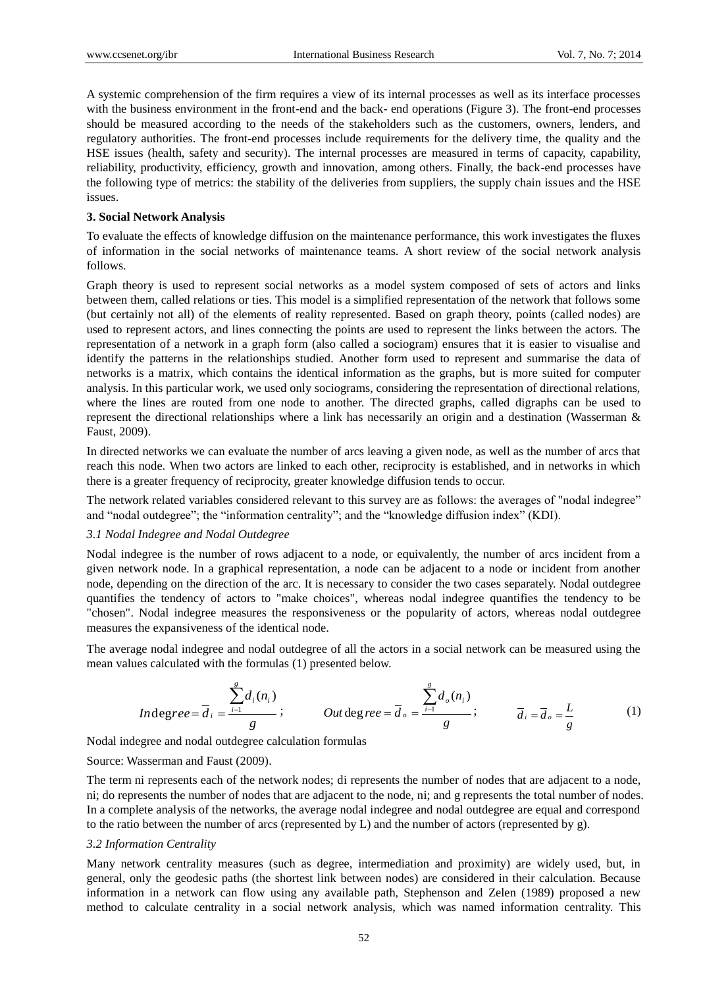A systemic comprehension of the firm requires a view of its internal processes as well as its interface processes with the business environment in the front-end and the back- end operations (Figure 3). The front-end processes should be measured according to the needs of the stakeholders such as the customers, owners, lenders, and regulatory authorities. The front-end processes include requirements for the delivery time, the quality and the HSE issues (health, safety and security). The internal processes are measured in terms of capacity, capability, reliability, productivity, efficiency, growth and innovation, among others. Finally, the back-end processes have the following type of metrics: the stability of the deliveries from suppliers, the supply chain issues and the HSE issues.

#### **3. Social Network Analysis**

To evaluate the effects of knowledge diffusion on the maintenance performance, this work investigates the fluxes of information in the social networks of maintenance teams. A short review of the social network analysis follows.

Graph theory is used to represent social networks as a model system composed of sets of actors and links between them, called relations or ties. This model is a simplified representation of the network that follows some (but certainly not all) of the elements of reality represented. Based on graph theory, points (called nodes) are used to represent actors, and lines connecting the points are used to represent the links between the actors. The representation of a network in a graph form (also called a sociogram) ensures that it is easier to visualise and identify the patterns in the relationships studied. Another form used to represent and summarise the data of networks is a matrix, which contains the identical information as the graphs, but is more suited for computer analysis. In this particular work, we used only sociograms, considering the representation of directional relations, where the lines are routed from one node to another. The directed graphs, called digraphs can be used to represent the directional relationships where a link has necessarily an origin and a destination (Wasserman & Faust, 2009).

In directed networks we can evaluate the number of arcs leaving a given node, as well as the number of arcs that reach this node. When two actors are linked to each other, reciprocity is established, and in networks in which there is a greater frequency of reciprocity, greater knowledge diffusion tends to occur.

The network related variables considered relevant to this survey are as follows: the averages of "nodal indegree" and "nodal outdegree"; the "information centrality"; and the "knowledge diffusion index" (KDI).

#### *3.1 Nodal Indegree and Nodal Outdegree*

Nodal indegree is the number of rows adjacent to a node, or equivalently, the number of arcs incident from a given network node. In a graphical representation, a node can be adjacent to a node or incident from another node, depending on the direction of the arc. It is necessary to consider the two cases separately. Nodal outdegree quantifies the tendency of actors to "make choices", whereas nodal indegree quantifies the tendency to be "chosen". Nodal indegree measures the responsiveness or the popularity of actors, whereas nodal outdegree measures the expansiveness of the identical node.

The average nodal indegree and nodal outdegree of all the actors in a social network can be measured using the mean values calculated with the formulas (1) presented below.

$$
In degree = \overline{d}_i = \frac{\sum_{i=1}^g d_i(n_i)}{g}; \qquad Out degree = \overline{d}_o = \frac{\sum_{i=1}^g d_o(n_i)}{g}; \qquad \overline{d}_i = \overline{d}_o = \frac{L}{g}
$$
 (1)

Nodal indegree and nodal outdegree calculation formulas

Source: Wasserman and Faust (2009).

The term ni represents each of the network nodes; di represents the number of nodes that are adjacent to a node, ni; do represents the number of nodes that are adjacent to the node, ni; and g represents the total number of nodes. In a complete analysis of the networks, the average nodal indegree and nodal outdegree are equal and correspond to the ratio between the number of arcs (represented by L) and the number of actors (represented by g).

#### *3.2 Information Centrality*

Many network centrality measures (such as degree, intermediation and proximity) are widely used, but, in general, only the geodesic paths (the shortest link between nodes) are considered in their calculation. Because information in a network can flow using any available path, Stephenson and Zelen (1989) proposed a new method to calculate centrality in a social network analysis, which was named information centrality. This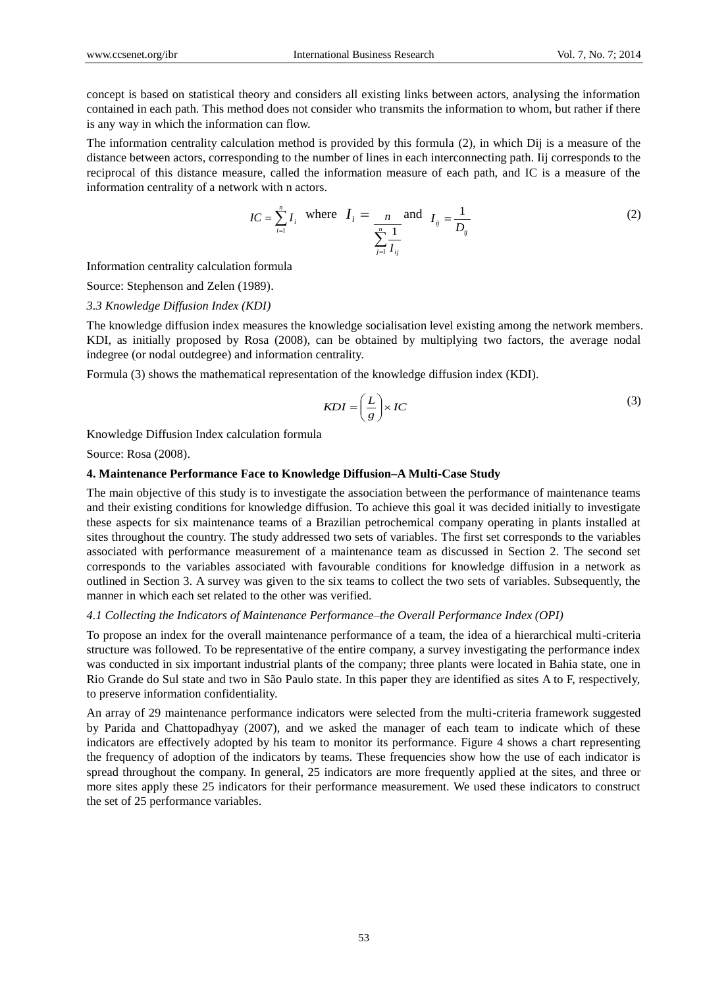concept is based on statistical theory and considers all existing links between actors, analysing the information contained in each path. This method does not consider who transmits the information to whom, but rather if there is any way in which the information can flow.

The information centrality calculation method is provided by this formula (2), in which Dij is a measure of the distance between actors, corresponding to the number of lines in each interconnecting path. Iij corresponds to the reciprocal of this distance measure, called the information measure of each path, and IC is a measure of the information centrality of a network with n actors.

$$
IC = \sum_{i=1}^{n} I_i \text{ where } I_i = \frac{n}{\sum_{j=1}^{n} \frac{1}{I_{ij}}} \text{ and } I_{ij} = \frac{1}{D_{ij}} \tag{2}
$$

Information centrality calculation formula

Source: Stephenson and Zelen (1989).

*3.3 Knowledge Diffusion Index (KDI)*

The knowledge diffusion index measures the knowledge socialisation level existing among the network members. KDI, as initially proposed by Rosa (2008), can be obtained by multiplying two factors, the average nodal indegree (or nodal outdegree) and information centrality.

Formula (3) shows the mathematical representation of the knowledge diffusion index (KDI).

$$
KDI = \left(\frac{L}{g}\right) \times IC
$$
\n(3)

Knowledge Diffusion Index calculation formula

Source: Rosa (2008).

#### **4. Maintenance Performance Face to Knowledge Diffusion–A Multi-Case Study**

The main objective of this study is to investigate the association between the performance of maintenance teams and their existing conditions for knowledge diffusion. To achieve this goal it was decided initially to investigate these aspects for six maintenance teams of a Brazilian petrochemical company operating in plants installed at sites throughout the country. The study addressed two sets of variables. The first set corresponds to the variables associated with performance measurement of a maintenance team as discussed in Section 2. The second set corresponds to the variables associated with favourable conditions for knowledge diffusion in a network as outlined in Section 3. A survey was given to the six teams to collect the two sets of variables. Subsequently, the manner in which each set related to the other was verified.

#### *4.1 Collecting the Indicators of Maintenance Performance–the Overall Performance Index (OPI)*

To propose an index for the overall maintenance performance of a team, the idea of a hierarchical multi-criteria structure was followed. To be representative of the entire company, a survey investigating the performance index was conducted in six important industrial plants of the company; three plants were located in Bahia state, one in Rio Grande do Sul state and two in São Paulo state. In this paper they are identified as sites A to F, respectively, to preserve information confidentiality.

An array of 29 maintenance performance indicators were selected from the multi-criteria framework suggested by Parida and Chattopadhyay (2007), and we asked the manager of each team to indicate which of these indicators are effectively adopted by his team to monitor its performance. Figure 4 shows a chart representing the frequency of adoption of the indicators by teams. These frequencies show how the use of each indicator is spread throughout the company. In general, 25 indicators are more frequently applied at the sites, and three or more sites apply these 25 indicators for their performance measurement. We used these indicators to construct the set of 25 performance variables.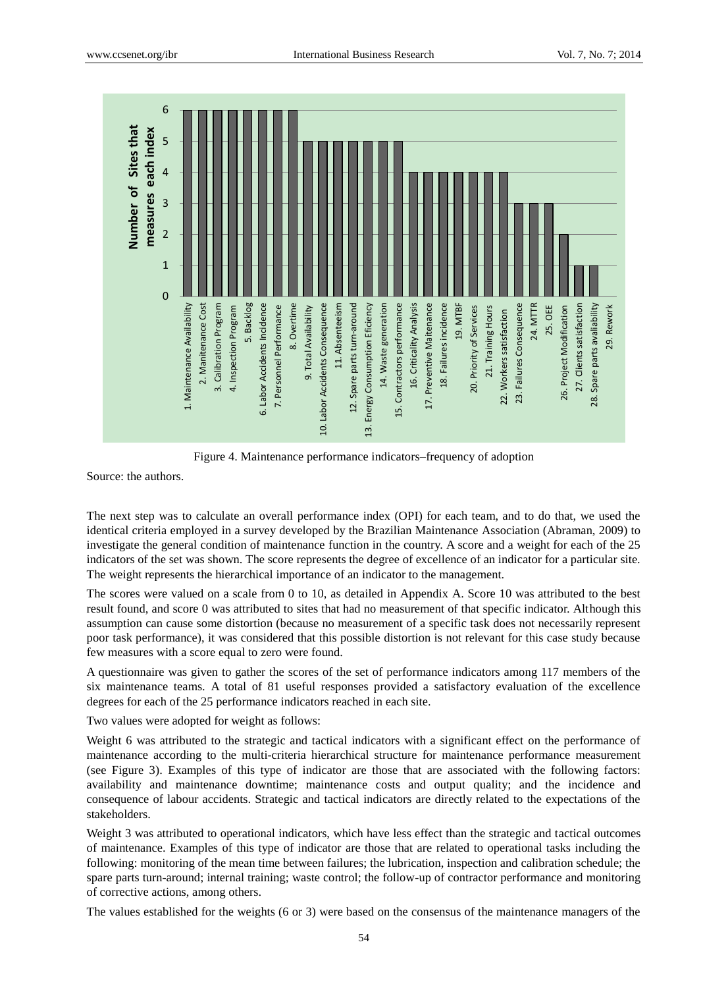

Figure 4. Maintenance performance indicators–frequency of adoption

Source: the authors.

The next step was to calculate an overall performance index (OPI) for each team, and to do that, we used the identical criteria employed in a survey developed by the Brazilian Maintenance Association (Abraman, 2009) to investigate the general condition of maintenance function in the country. A score and a weight for each of the 25 indicators of the set was shown. The score represents the degree of excellence of an indicator for a particular site. The weight represents the hierarchical importance of an indicator to the management.

The scores were valued on a scale from 0 to 10, as detailed in Appendix A. Score 10 was attributed to the best result found, and score 0 was attributed to sites that had no measurement of that specific indicator. Although this assumption can cause some distortion (because no measurement of a specific task does not necessarily represent poor task performance), it was considered that this possible distortion is not relevant for this case study because few measures with a score equal to zero were found.

A questionnaire was given to gather the scores of the set of performance indicators among 117 members of the six maintenance teams. A total of 81 useful responses provided a satisfactory evaluation of the excellence degrees for each of the 25 performance indicators reached in each site.

Two values were adopted for weight as follows:

Weight 6 was attributed to the strategic and tactical indicators with a significant effect on the performance of maintenance according to the multi-criteria hierarchical structure for maintenance performance measurement (see Figure 3). Examples of this type of indicator are those that are associated with the following factors: availability and maintenance downtime; maintenance costs and output quality; and the incidence and consequence of labour accidents. Strategic and tactical indicators are directly related to the expectations of the stakeholders.

Weight 3 was attributed to operational indicators, which have less effect than the strategic and tactical outcomes of maintenance. Examples of this type of indicator are those that are related to operational tasks including the following: monitoring of the mean time between failures; the lubrication, inspection and calibration schedule; the spare parts turn-around; internal training; waste control; the follow-up of contractor performance and monitoring of corrective actions, among others.

The values established for the weights (6 or 3) were based on the consensus of the maintenance managers of the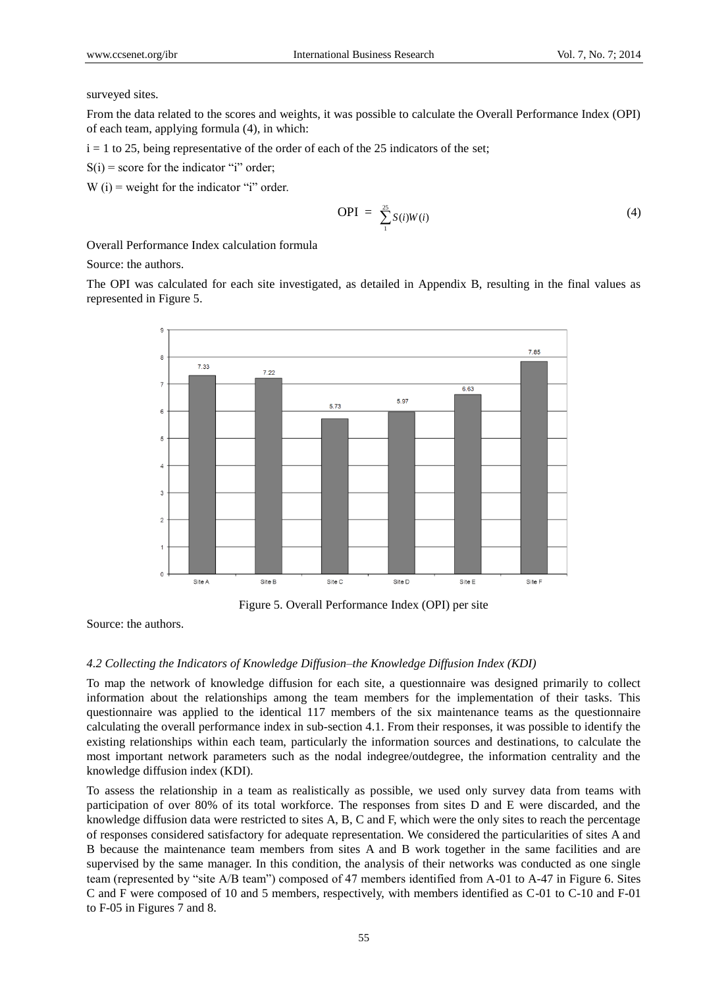surveyed sites.

From the data related to the scores and weights, it was possible to calculate the Overall Performance Index (OPI) of each team, applying formula (4), in which:

 $i = 1$  to 25, being representative of the order of each of the 25 indicators of the set;

 $S(i)$  = score for the indicator "i" order;

 $W(i)$  = weight for the indicator "i" order.

$$
OPI = \sum_{1}^{25} S(i)W(i) \tag{4}
$$

Overall Performance Index calculation formula

Source: the authors.

The OPI was calculated for each site investigated, as detailed in Appendix B, resulting in the final values as represented in Figure 5.



Figure 5. Overall Performance Index (OPI) per site

Source: the authors.

## *4.2 Collecting the Indicators of Knowledge Diffusion–the Knowledge Diffusion Index (KDI)*

To map the network of knowledge diffusion for each site, a questionnaire was designed primarily to collect information about the relationships among the team members for the implementation of their tasks. This questionnaire was applied to the identical 117 members of the six maintenance teams as the questionnaire calculating the overall performance index in sub-section 4.1. From their responses, it was possible to identify the existing relationships within each team, particularly the information sources and destinations, to calculate the most important network parameters such as the nodal indegree/outdegree, the information centrality and the knowledge diffusion index (KDI).

To assess the relationship in a team as realistically as possible, we used only survey data from teams with participation of over 80% of its total workforce. The responses from sites D and E were discarded, and the knowledge diffusion data were restricted to sites A, B, C and F, which were the only sites to reach the percentage of responses considered satisfactory for adequate representation. We considered the particularities of sites A and B because the maintenance team members from sites A and B work together in the same facilities and are supervised by the same manager. In this condition, the analysis of their networks was conducted as one single team (represented by "site A/B team") composed of 47 members identified from A-01 to A-47 in Figure 6. Sites C and F were composed of 10 and 5 members, respectively, with members identified as C-01 to C-10 and F-01 to F-05 in Figures 7 and 8.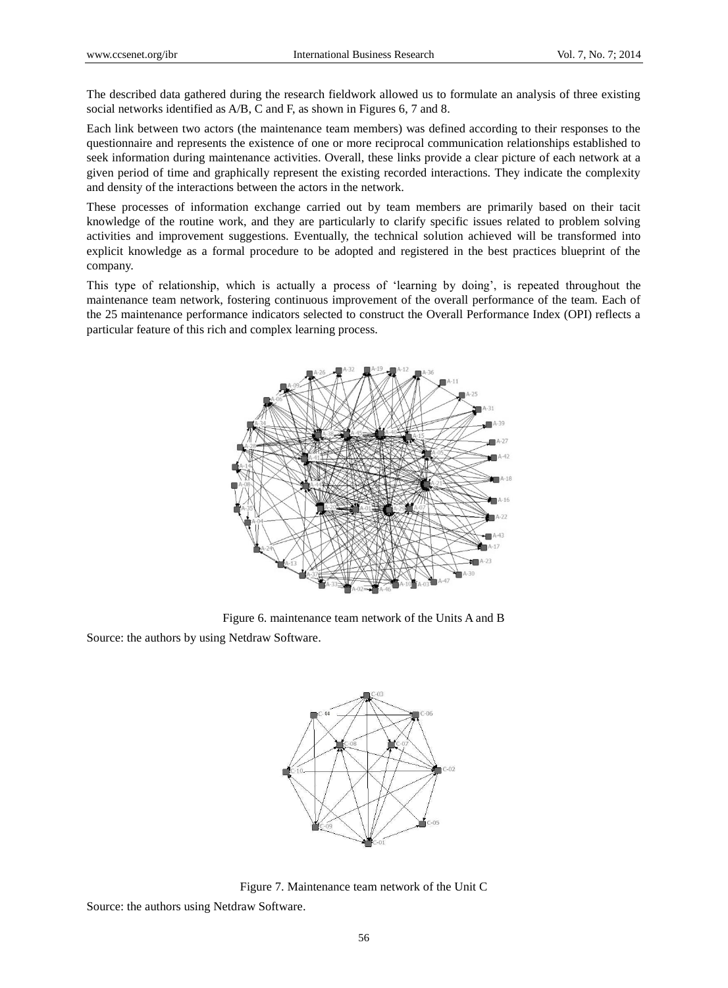The described data gathered during the research fieldwork allowed us to formulate an analysis of three existing social networks identified as A/B, C and F, as shown in Figures 6, 7 and 8.

Each link between two actors (the maintenance team members) was defined according to their responses to the questionnaire and represents the existence of one or more reciprocal communication relationships established to seek information during maintenance activities. Overall, these links provide a clear picture of each network at a given period of time and graphically represent the existing recorded interactions. They indicate the complexity and density of the interactions between the actors in the network.

These processes of information exchange carried out by team members are primarily based on their tacit knowledge of the routine work, and they are particularly to clarify specific issues related to problem solving activities and improvement suggestions. Eventually, the technical solution achieved will be transformed into explicit knowledge as a formal procedure to be adopted and registered in the best practices blueprint of the company.

This type of relationship, which is actually a process of ‗learning by doing', is repeated throughout the maintenance team network, fostering continuous improvement of the overall performance of the team. Each of the 25 maintenance performance indicators selected to construct the Overall Performance Index (OPI) reflects a particular feature of this rich and complex learning process.



Figure 6. maintenance team network of the Units A and B Source: the authors by using Netdraw Software.



Figure 7. Maintenance team network of the Unit C Source: the authors using Netdraw Software.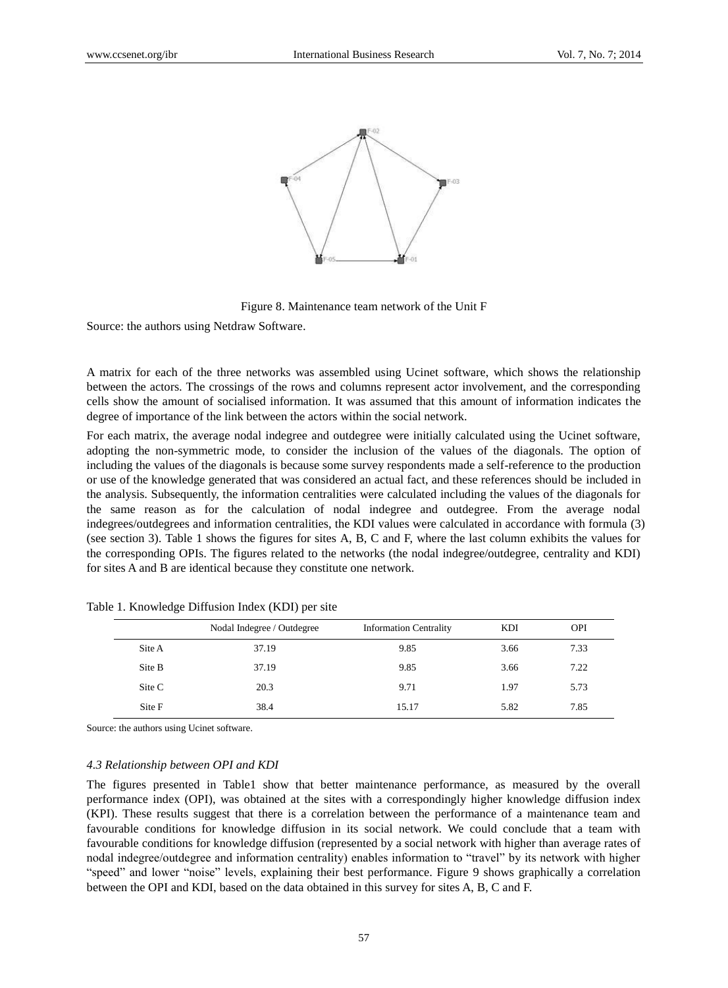



Source: the authors using Netdraw Software.

A matrix for each of the three networks was assembled using Ucinet software, which shows the relationship between the actors. The crossings of the rows and columns represent actor involvement, and the corresponding cells show the amount of socialised information. It was assumed that this amount of information indicates the degree of importance of the link between the actors within the social network.

For each matrix, the average nodal indegree and outdegree were initially calculated using the Ucinet software, adopting the non-symmetric mode, to consider the inclusion of the values of the diagonals. The option of including the values of the diagonals is because some survey respondents made a self-reference to the production or use of the knowledge generated that was considered an actual fact, and these references should be included in the analysis. Subsequently, the information centralities were calculated including the values of the diagonals for the same reason as for the calculation of nodal indegree and outdegree. From the average nodal indegrees/outdegrees and information centralities, the KDI values were calculated in accordance with formula (3) (see section 3). Table 1 shows the figures for sites A, B, C and F, where the last column exhibits the values for the corresponding OPIs. The figures related to the networks (the nodal indegree/outdegree, centrality and KDI) for sites A and B are identical because they constitute one network.

|        | Nodal Indegree / Outdegree | <b>Information Centrality</b> | KDI  | <b>OPI</b> |
|--------|----------------------------|-------------------------------|------|------------|
| Site A | 37.19                      | 9.85                          | 3.66 | 7.33       |
| Site B | 37.19                      | 9.85                          | 3.66 | 7.22       |
| Site C | 20.3                       | 9.71                          | 1.97 | 5.73       |
| Site F | 38.4                       | 15.17                         | 5.82 | 7.85       |

Table 1. Knowledge Diffusion Index (KDI) per site

Source: the authors using Ucinet software.

#### *4.3 Relationship between OPI and KDI*

The figures presented in Table1 show that better maintenance performance, as measured by the overall performance index (OPI), was obtained at the sites with a correspondingly higher knowledge diffusion index (KPI). These results suggest that there is a correlation between the performance of a maintenance team and favourable conditions for knowledge diffusion in its social network. We could conclude that a team with favourable conditions for knowledge diffusion (represented by a social network with higher than average rates of nodal indegree/outdegree and information centrality) enables information to "travel" by its network with higher ―speed‖ and lower ―noise‖ levels, explaining their best performance. Figure 9 shows graphically a correlation between the OPI and KDI, based on the data obtained in this survey for sites A, B, C and F.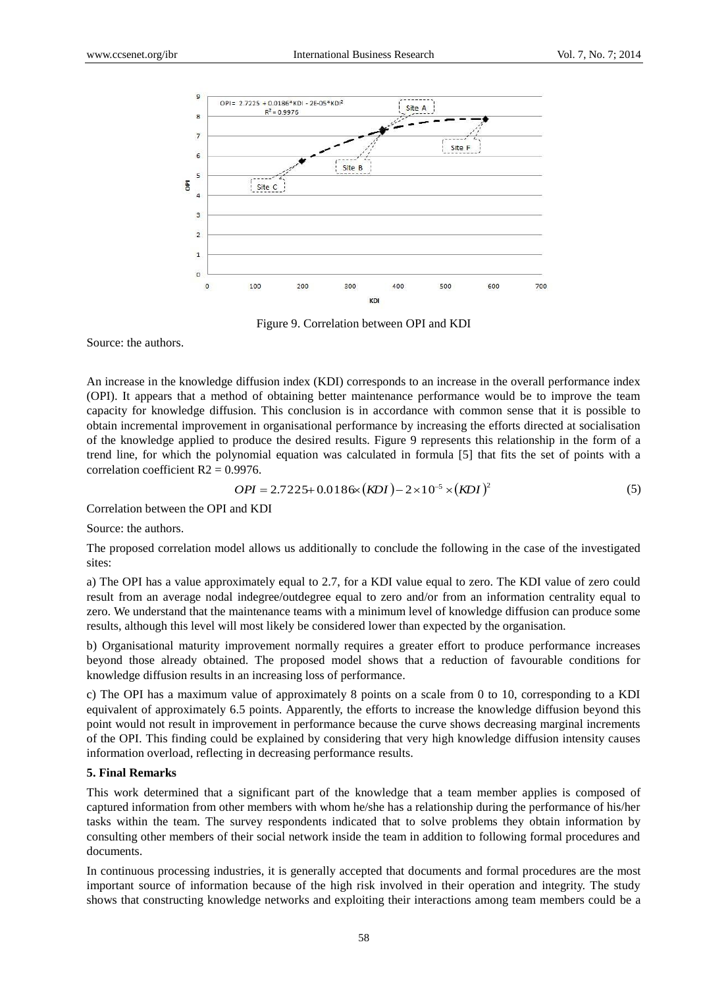

Figure 9. Correlation between OPI and KDI

Source: the authors.

An increase in the knowledge diffusion index (KDI) corresponds to an increase in the overall performance index (OPI). It appears that a method of obtaining better maintenance performance would be to improve the team capacity for knowledge diffusion. This conclusion is in accordance with common sense that it is possible to obtain incremental improvement in organisational performance by increasing the efforts directed at socialisation of the knowledge applied to produce the desired results. Figure 9 represents this relationship in the form of a trend line, for which the polynomial equation was calculated in formula [5] that fits the set of points with a correlation coefficient  $R2 = 0.9976$ .

$$
OPI = 2.7225 + 0.0186 \times (KDI) - 2 \times 10^{-5} \times (KDI)^2
$$
 (5)

Correlation between the OPI and KDI

Source: the authors.

The proposed correlation model allows us additionally to conclude the following in the case of the investigated sites:

a) The OPI has a value approximately equal to 2.7, for a KDI value equal to zero. The KDI value of zero could result from an average nodal indegree/outdegree equal to zero and/or from an information centrality equal to zero. We understand that the maintenance teams with a minimum level of knowledge diffusion can produce some results, although this level will most likely be considered lower than expected by the organisation.

b) Organisational maturity improvement normally requires a greater effort to produce performance increases beyond those already obtained. The proposed model shows that a reduction of favourable conditions for knowledge diffusion results in an increasing loss of performance.

c) The OPI has a maximum value of approximately 8 points on a scale from 0 to 10, corresponding to a KDI equivalent of approximately 6.5 points. Apparently, the efforts to increase the knowledge diffusion beyond this point would not result in improvement in performance because the curve shows decreasing marginal increments of the OPI. This finding could be explained by considering that very high knowledge diffusion intensity causes information overload, reflecting in decreasing performance results.

#### **5. Final Remarks**

This work determined that a significant part of the knowledge that a team member applies is composed of captured information from other members with whom he/she has a relationship during the performance of his/her tasks within the team. The survey respondents indicated that to solve problems they obtain information by consulting other members of their social network inside the team in addition to following formal procedures and documents.

In continuous processing industries, it is generally accepted that documents and formal procedures are the most important source of information because of the high risk involved in their operation and integrity. The study shows that constructing knowledge networks and exploiting their interactions among team members could be a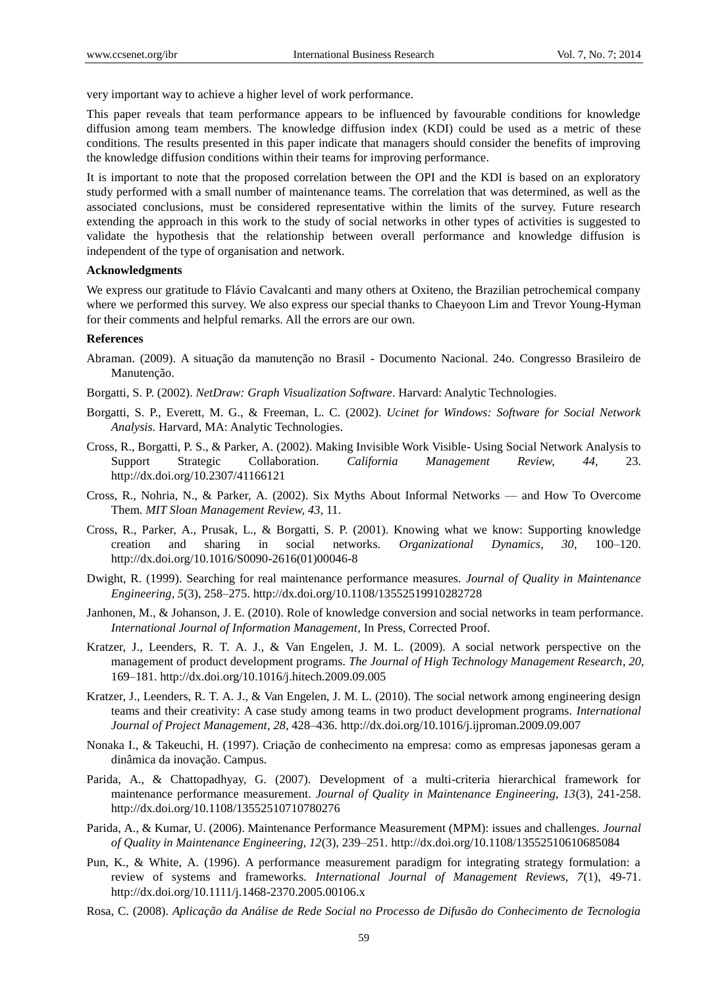very important way to achieve a higher level of work performance.

This paper reveals that team performance appears to be influenced by favourable conditions for knowledge diffusion among team members. The knowledge diffusion index (KDI) could be used as a metric of these conditions. The results presented in this paper indicate that managers should consider the benefits of improving the knowledge diffusion conditions within their teams for improving performance.

It is important to note that the proposed correlation between the OPI and the KDI is based on an exploratory study performed with a small number of maintenance teams. The correlation that was determined, as well as the associated conclusions, must be considered representative within the limits of the survey. Future research extending the approach in this work to the study of social networks in other types of activities is suggested to validate the hypothesis that the relationship between overall performance and knowledge diffusion is independent of the type of organisation and network.

## **Acknowledgments**

We express our gratitude to Flávio Cavalcanti and many others at Oxiteno, the Brazilian petrochemical company where we performed this survey. We also express our special thanks to Chaeyoon Lim and Trevor Young-Hyman for their comments and helpful remarks. All the errors are our own.

## **References**

- Abraman. (2009). A situação da manutenção no Brasil Documento Nacional. 24o. Congresso Brasileiro de Manuten ção.
- Borgatti, S. P. (2002). *NetDraw: Graph Visualization Software*. Harvard: Analytic Technologies.
- Borgatti, S. P., Everett, M. G., & Freeman, L. C. (2002). *Ucinet for Windows: Software for Social Network Analysis*. Harvard, MA: Analytic Technologies.
- Cross, R., Borgatti, P. S., & Parker, A. (2002). Making Invisible Work Visible- Using Social Network Analysis to Support Strategic Collaboration. *California Management Review, 44*, 23. http://dx.doi.org/10.2307/41166121
- Cross, R., Nohria, N., & Parker, A. (2002). Six Myths About Informal Networks and How To Overcome Them. *MIT Sloan Management Review, 43*, 11.
- Cross, R., Parker, A., Prusak, L., & Borgatti, S. P. (2001). Knowing what we know: Supporting knowledge creation and sharing in social networks. *Organizational Dynamics, 30*, 100–120. http://dx.doi.org/10.1016/S0090-2616(01)00046-8
- Dwight, R. (1999). Searching for real maintenance performance measures. *Journal of Quality in Maintenance Engineering, 5*(3), 258–275. http://dx.doi.org/10.1108/13552519910282728
- Janhonen, M., & Johanson, J. E. (2010). Role of knowledge conversion and social networks in team performance. *International Journal of Information Management*, In Press, Corrected Proof.
- Kratzer, J., Leenders, R. T. A. J., & Van Engelen, J. M. L. (2009). A social network perspective on the management of product development programs. *The Journal of High Technology Management Research, 20*, 169–181. http://dx.doi.org/10.1016/j.hitech.2009.09.005
- Kratzer, J., Leenders, R. T. A. J., & Van Engelen, J. M. L. (2010). The social network among engineering design teams and their creativity: A case study among teams in two product development programs. *International Journal of Project Management, 28*, 428–436. http://dx.doi.org/10.1016/j.ijproman.2009.09.007
- Nonaka I., & Takeuchi, H. (1997). Criação de conhecimento na empresa: como as empresas japonesas geram a dinâmica da inovação. Campus.
- Parida, A., & Chattopadhyay, G. (2007). Development of a multi-criteria hierarchical framework for maintenance performance measurement. *Journal of Quality in Maintenance Engineering, 13*(3), 241-258. http://dx.doi.org/10.1108/13552510710780276
- Parida, A., & Kumar, U. (2006). Maintenance Performance Measurement (MPM): issues and challenges. *Journal of Quality in Maintenance Engineering, 12*(3), 239–251. http://dx.doi.org/10.1108/13552510610685084
- Pun, K., & White, A. (1996). A performance measurement paradigm for integrating strategy formulation: a review of systems and frameworks. *International Journal of Management Reviews, 7*(1), 49-71. http://dx.doi.org/10.1111/j.1468-2370.2005.00106.x
- Rosa, C. (2008). *Aplicação da Análise de Rede Social no Processo de Difusão do Conhecimento de Tecnologia*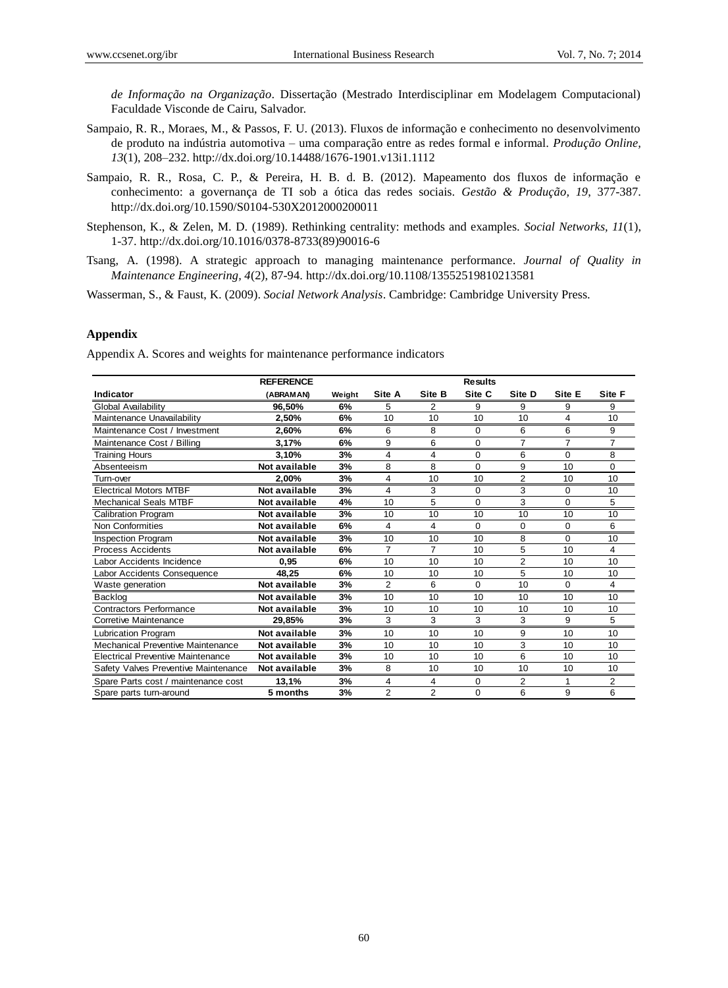*de Informação na Organização*. Dissertação (Mestrado Interdisciplinar em Modelagem Computacional) Faculdade Visconde de Cairu, Salvador.

- Sampaio, R. R., Moraes, M., & Passos, F. U. (2013). Fluxos de informação e conhecimento no desenvolvimento de produto na indústria automotiva – uma comparação entre as redes formal e informal. *Produção Online, 13*(1), 208–232. http://dx.doi.org/10.14488/1676-1901.v13i1.1112
- Sampaio, R. R., Rosa, C. P., & Pereira, H. B. d. B. (2012). Mapeamento dos fluxos de informação e conhecimento: a governança de TI sob a ótica das redes sociais. *Gestão & Produção, 19*, 377-387. http://dx.doi.org/10.1590/S0104-530X2012000200011
- Stephenson, K., & Zelen, M. D. (1989). Rethinking centrality: methods and examples. *Social Networks, 11*(1), 1-37. http://dx.doi.org/10.1016/0378-8733(89)90016-6
- Tsang, A. (1998). A strategic approach to managing maintenance performance. *Journal of Quality in Maintenance Engineering, 4*(2), 87-94. http://dx.doi.org/10.1108/13552519810213581

Wasserman, S., & Faust, K. (2009). *Social Network Analysis*. Cambridge: Cambridge University Press.

## **Appendix**

Appendix A. Scores and weights for maintenance performance indicators

|                                      | <b>REFERENCE</b> |        |                |                | <b>Results</b> |                |                |                |
|--------------------------------------|------------------|--------|----------------|----------------|----------------|----------------|----------------|----------------|
| Indicator                            | (ABRAMAN)        | Weight | Site A         | Site B         | Site C         | Site D         | Site E         | Site F         |
| Global Availability                  | 96.50%           | 6%     | 5              | 2              | 9              | 9              | 9              | 9              |
| Maintenance Unavailability           | 2.50%            | 6%     | 10             | 10             | 10             | 10             | 4              | 10             |
| Maintenance Cost / Investment        | 2.60%            | 6%     | 6              | 8              | $\Omega$       | 6              | 6              | 9              |
| Maintenance Cost / Billing           | 3.17%            | 6%     | 9              | 6              | 0              | $\overline{7}$ | $\overline{7}$ | $\overline{7}$ |
| Training Hours                       | 3.10%            | 3%     | 4              | 4              | $\Omega$       | 6              | $\Omega$       | 8              |
| Absenteeism                          | Not available    | 3%     | 8              | 8              | $\Omega$       | 9              | 10             | $\Omega$       |
| Turn-over                            | 2.00%            | 3%     | 4              | 10             | 10             | $\overline{2}$ | 10             | 10             |
| <b>Electrical Motors MTBF</b>        | Not available    | 3%     | 4              | 3              | 0              | 3              | $\Omega$       | 10             |
| <b>Mechanical Seals MTBF</b>         | Not available    | 4%     | 10             | 5              | 0              | 3              | $\mathbf 0$    | 5              |
| <b>Calibration Program</b>           | Not available    | 3%     | 10             | 10             | 10             | 10             | 10             | 10             |
| Non Conformities                     | Not available    | 6%     | 4              | 4              | 0              | 0              | 0              | 6              |
| <b>Inspection Program</b>            | Not available    | 3%     | 10             | 10             | 10             | 8              | $\Omega$       | 10             |
| <b>Process Accidents</b>             | Not available    | 6%     | 7              | 7              | 10             | 5              | 10             | 4              |
| Labor Accidents Incidence            | 0,95             | 6%     | 10             | 10             | 10             | $\overline{2}$ | 10             | 10             |
| Labor Accidents Consequence          | 48.25            | 6%     | 10             | 10             | 10             | 5              | 10             | 10             |
| Waste generation                     | Not available    | 3%     | $\overline{2}$ | 6              | $\Omega$       | 10             | $\Omega$       | 4              |
| Backlog                              | Not available    | 3%     | 10             | 10             | 10             | 10             | 10             | 10             |
| <b>Contractors Performance</b>       | Not available    | 3%     | 10             | 10             | 10             | 10             | 10             | 10             |
| Corretive Maintenance                | 29.85%           | 3%     | 3              | 3              | 3              | 3              | 9              | 5              |
| <b>Lubrication Program</b>           | Not available    | 3%     | 10             | 10             | 10             | 9              | 10             | 10             |
| Mechanical Preventive Maintenance    | Not available    | 3%     | 10             | 10             | 10             | 3              | 10             | 10             |
| Electrical Preventive Maintenance    | Not available    | 3%     | 10             | 10             | 10             | 6              | 10             | 10             |
| Safety Valves Preventive Maintenance | Not available    | 3%     | 8              | 10             | 10             | 10             | 10             | 10             |
| Spare Parts cost / maintenance cost  | 13,1%            | 3%     | 4              | 4              | 0              | 2              | 1              | 2              |
| Spare parts turn-around              | 5 months         | 3%     | $\overline{2}$ | $\overline{2}$ | $\Omega$       | 6              | 9              | 6              |